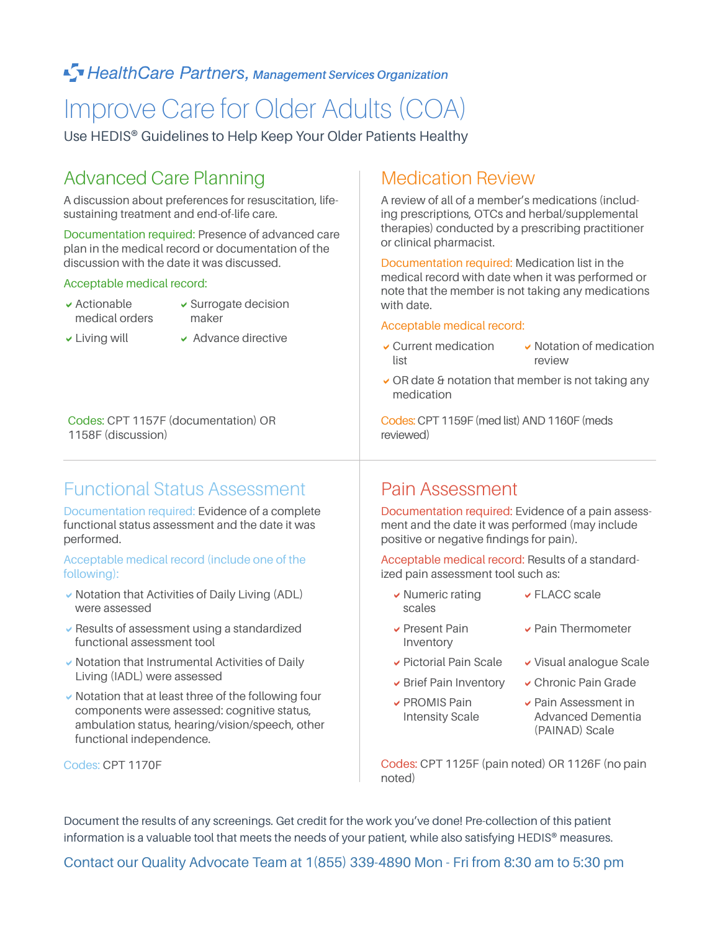#### ■ Health Care Partners, Management Services Organization

# Improve Care for Older Adults (COA)

Use HEDIS® Guidelines to Help Keep Your Older Patients Healthy

### Advanced Care Planning

A discussion about preferences for resuscitation, lifesustaining treatment and end-of-life care.

Documentation required: Presence of advanced care plan in the medical record or documentation of the discussion with the date it was discussed.

#### Acceptable medical record:

- $\blacktriangleright$  Actionable medical orders
- $\checkmark$  Surrogate decision maker
- 
- $\vee$  Living will  $\vee$  Advance directive

Codes: CPT 1157F (documentation) OR 1158F (discussion)

### Functional Status Assessment

Documentation required: Evidence of a complete functional status assessment and the date it was performed.

#### Acceptable medical record (include one of the following):

- $\checkmark$  Notation that Activities of Daily Living (ADL) were assessed
- $\vee$  Results of assessment using a standardized functional assessment tool
- $\vee$  Notation that Instrumental Activities of Daily Living (IADL) were assessed
- $\vee$  Notation that at least three of the following four components were assessed: cognitive status, ambulation status, hearing/vision/speech, other functional independence.

Codes: CPT 1170F

### Medication Review

A review of all of a member's medications (including prescriptions, OTCs and herbal/supplemental therapies) conducted by a prescribing practitioner or clinical pharmacist.

Documentation required: Medication list in the medical record with date when it was performed or note that the member is not taking any medications with date.

#### Acceptable medical record:

- $\sqrt{\text{Current medication}}$ list  $\vee$  Notation of medication review
- $\vee$  OR date & notation that member is not taking any medication

Codes: CPT 1159F (med list) AND 1160F (meds reviewed)

#### Pain Assessment

Documentation required: Evidence of a pain assessment and the date it was performed (may include positive or negative findings for pain).

Acceptable medical record: Results of a standardized pain assessment tool such as:

- $\vee$  Numeric rating scales  $\vee$  FLACC scale
	- $\triangleright$  Pain Thermometer
	-
- $\vee$  Brief Pain Inventory  $\vee$  Chronic Pain Grade
- $\vee$  PROMIS Pain Intensity Scale

**v** Present Pain Inventory

- $\overline{\phantom{a}}$  Pictorial Pain Scale  $\overline{\phantom{a}}$  Visual analogue Scale
	-
	- aPain Assessment in Advanced Dementia (PAINAD) Scale

Codes: CPT 1125F (pain noted) OR 1126F (no pain noted)

Document the results of any screenings. Get credit for the work you've done! Pre-collection of this patient information is a valuable tool that meets the needs of your patient, while also satisfying HEDIS<sup>®</sup> measures.

Contact our Quality Advocate Team at 1(855) 339-4890 Mon - Fri from 8:30 am to 5:30 pm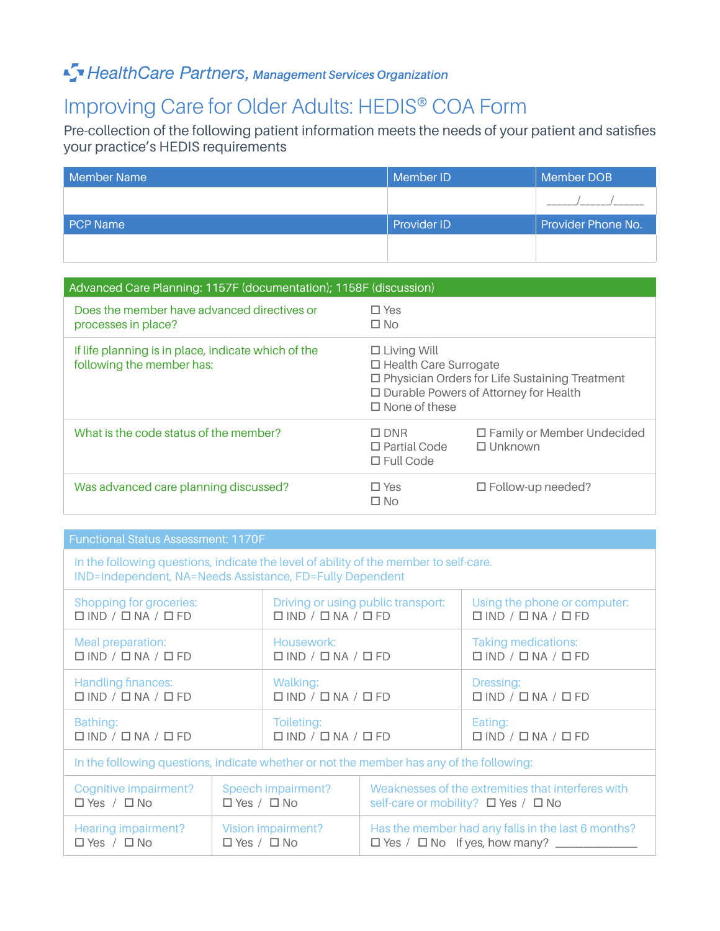### Fy Health Care Partners, Management Services Organization

## Improving Care for Older Adults: HEDIS® COA Form

Pre-collection of the following patient information meets the needs of your patient and satisfies your practice's HEDIS requirements

| Member Name     | Member ID          | Member DOB         |
|-----------------|--------------------|--------------------|
|                 |                    |                    |
| <b>PCP Name</b> | <b>Provider ID</b> | Provider Phone No. |
|                 |                    |                    |

| Advanced Care Planning: 1157F (documentation); 1158F (discussion)                |                                                                                                                                                                           |                                                     |  |  |
|----------------------------------------------------------------------------------|---------------------------------------------------------------------------------------------------------------------------------------------------------------------------|-----------------------------------------------------|--|--|
| Does the member have advanced directives or<br>processes in place?               | $\Box$ Yes<br>$\Box$ No                                                                                                                                                   |                                                     |  |  |
| If life planning is in place, indicate which of the<br>following the member has: | $\Box$ Living Will<br>$\Box$ Health Care Surrogate<br>□ Physician Orders for Life Sustaining Treatment<br>□ Durable Powers of Attorney for Health<br>$\Box$ None of these |                                                     |  |  |
| What is the code status of the member?                                           | $\square$ DNR<br>$\Box$ Partial Code<br>$\Box$ Full Code                                                                                                                  | $\Box$ Family or Member Undecided<br>$\Box$ Unknown |  |  |
| Was advanced care planning discussed?                                            | $\Box$ Yes<br>$\Box$ No                                                                                                                                                   | $\Box$ Follow-up needed?                            |  |  |

| <b>Functional Status Assessment: 1170F</b>                                                                                                        |                                                     |                                                  |                                    |                                                                                           |  |
|---------------------------------------------------------------------------------------------------------------------------------------------------|-----------------------------------------------------|--------------------------------------------------|------------------------------------|-------------------------------------------------------------------------------------------|--|
| In the following questions, indicate the level of ability of the member to self-care.<br>IND=Independent, NA=Needs Assistance, FD=Fully Dependent |                                                     |                                                  |                                    |                                                                                           |  |
| Shopping for groceries:<br>$\Box$ IND / $\Box$ NA / $\Box$ FD                                                                                     |                                                     | $\Box$ IND / $\Box$ NA / $\Box$ FD               | Driving or using public transport: | Using the phone or computer:<br>$\Box$ IND / $\Box$ NA / $\Box$ FD                        |  |
| Meal preparation:<br>$\Box$ IND / $\Box$ NA / $\Box$ FD                                                                                           |                                                     | Housework:<br>$\Box$ IND / $\Box$ NA / $\Box$ FD |                                    | <b>Taking medications:</b><br>$\Box$ IND / $\Box$ NA / $\Box$ FD                          |  |
| <b>Handling finances:</b><br>$\Box$ IND / $\Box$ NA / $\Box$ FD                                                                                   |                                                     | Walking:<br>$\Box$ IND / $\Box$ NA / $\Box$ FD   |                                    | Dressing:<br>$\Box$ IND / $\Box$ NA / $\Box$ FD                                           |  |
| Bathing:<br>$\Box$ IND / $\Box$ NA / $\Box$ FD                                                                                                    |                                                     |                                                  | $\Box$ IND / $\Box$ NA / $\Box$ FD | Eating:<br>$\Box$ IND / $\Box$ NA / $\Box$ FD                                             |  |
| In the following questions, indicate whether or not the member has any of the following:                                                          |                                                     |                                                  |                                    |                                                                                           |  |
| Cognitive impairment?<br>$\Box$ Yes / $\Box$ No                                                                                                   | Speech impairment?<br>$\Box$ Yes / $\Box$ No        |                                                  |                                    | Weaknesses of the extremities that interferes with<br>self-care or mobility? □ Yes / □ No |  |
| <b>Hearing impairment?</b><br>$\Box$ Yes / $\Box$ No                                                                                              | <b>Vision impairment?</b><br>$\Box$ Yes / $\Box$ No |                                                  |                                    | Has the member had any falls in the last 6 months?                                        |  |